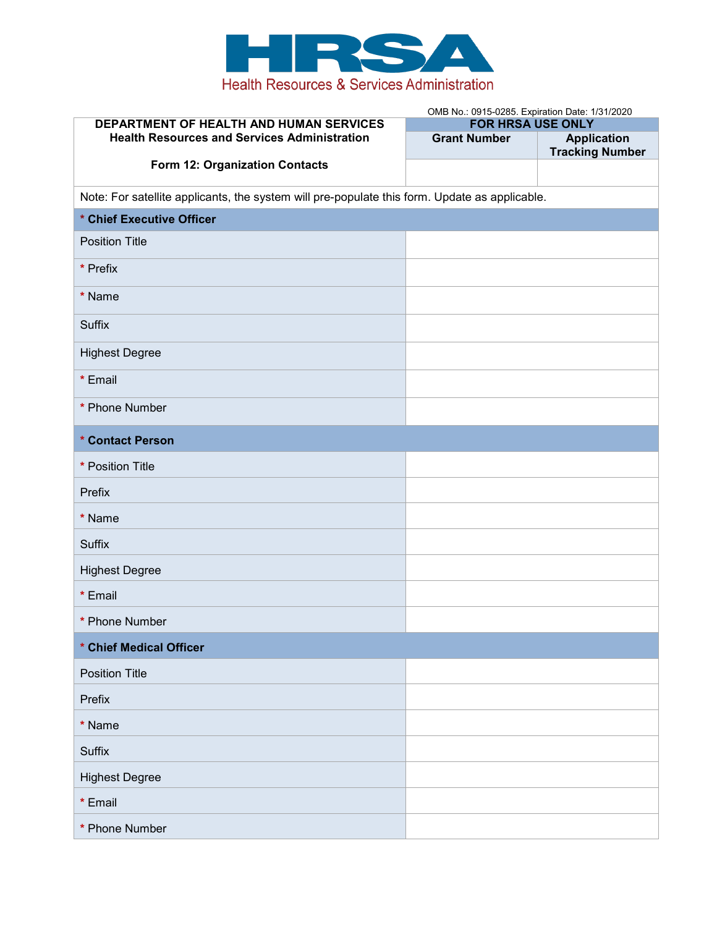

|                                                                                               | OMB No.: 0915-0285. Expiration Date: 1/31/2020 |                                              |
|-----------------------------------------------------------------------------------------------|------------------------------------------------|----------------------------------------------|
| DEPARTMENT OF HEALTH AND HUMAN SERVICES<br>FOR HRSA USE ONLY                                  |                                                |                                              |
| <b>Health Resources and Services Administration</b>                                           | <b>Grant Number</b>                            | <b>Application</b><br><b>Tracking Number</b> |
| Form 12: Organization Contacts                                                                |                                                |                                              |
| Note: For satellite applicants, the system will pre-populate this form. Update as applicable. |                                                |                                              |
| * Chief Executive Officer                                                                     |                                                |                                              |
| <b>Position Title</b>                                                                         |                                                |                                              |
| * Prefix                                                                                      |                                                |                                              |
| * Name                                                                                        |                                                |                                              |
| <b>Suffix</b>                                                                                 |                                                |                                              |
| <b>Highest Degree</b>                                                                         |                                                |                                              |
| * Email                                                                                       |                                                |                                              |
| * Phone Number                                                                                |                                                |                                              |
| * Contact Person                                                                              |                                                |                                              |
| * Position Title                                                                              |                                                |                                              |
| Prefix                                                                                        |                                                |                                              |
| * Name                                                                                        |                                                |                                              |
| <b>Suffix</b>                                                                                 |                                                |                                              |
| <b>Highest Degree</b>                                                                         |                                                |                                              |
| * Email                                                                                       |                                                |                                              |
| * Phone Number                                                                                |                                                |                                              |
| * Chief Medical Officer                                                                       |                                                |                                              |
| <b>Position Title</b>                                                                         |                                                |                                              |
| Prefix                                                                                        |                                                |                                              |
| * Name                                                                                        |                                                |                                              |
| Suffix                                                                                        |                                                |                                              |
| <b>Highest Degree</b>                                                                         |                                                |                                              |
| * Email                                                                                       |                                                |                                              |
| * Phone Number                                                                                |                                                |                                              |